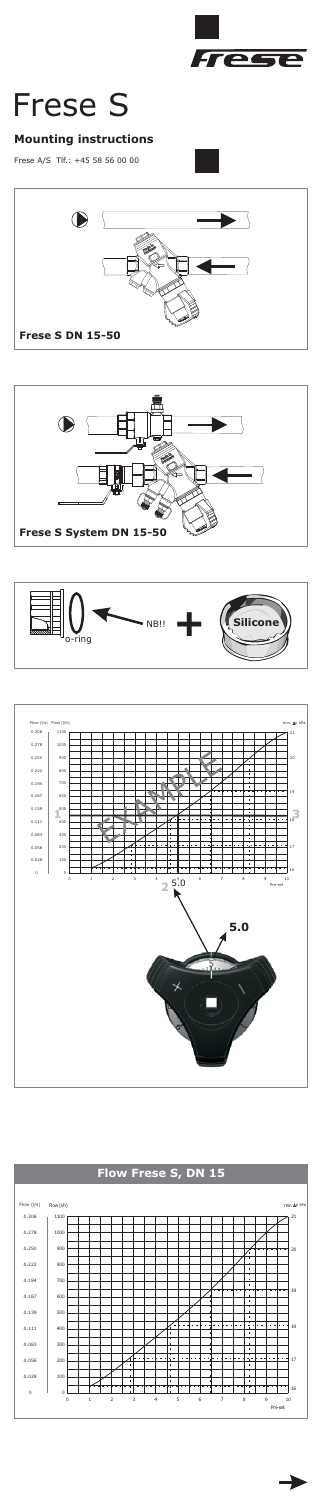

# Frese S<br>Mounting instructions

Frese A/S Tlf.: +45 58 56 00 00

## **Mounting instructions**







### **Flow Frese S, DN 15**